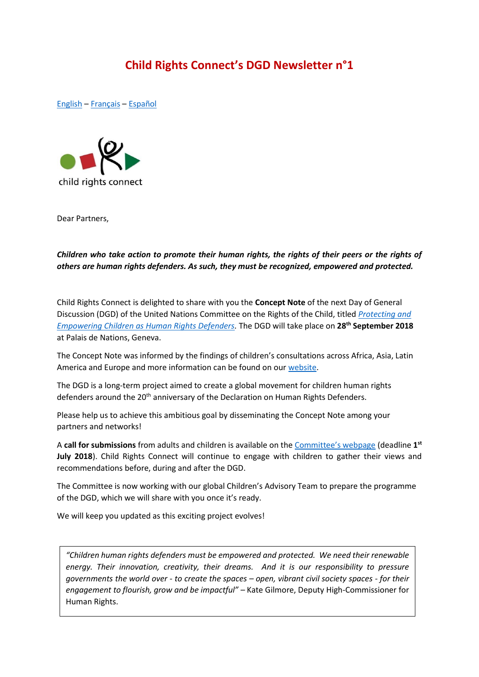# **Child Rights Connect's DGD Newsletter n°1**

<span id="page-0-0"></span>[English](#page-0-0) – [Français](#page-1-0) – [Español](#page-2-0)



Dear Partners,

## *Children who take action to promote their human rights, the rights of their peers or the rights of others are human rights defenders. As such, they must be recognized, empowered and protected.*

Child Rights Connect is delighted to share with you the **Concept Note** of the next Day of General Discussion (DGD) of the United Nations Committee on the Rights of the Child, titled *[Protecting and](http://www.ohchr.org/Documents/HRBodies/CRC/Discussions/2018/ConceptNote_EN.docx)  [Empowering Children as Human Rights Defenders.](http://www.ohchr.org/Documents/HRBodies/CRC/Discussions/2018/ConceptNote_EN.docx)* The DGD will take place on **28th September 2018** at Palais de Nations, Geneva.

The Concept Note was informed by the findings of children's consultations across Africa, Asia, Latin America and Europe and more information can be found on our [website.](http://www.childrightsconnect.org/connect-with-the-un-2/committee-on-the-rights-of-the-child/days-of-general-discussion/fr/)

The DGD is a long-term project aimed to create a global movement for children human rights defenders around the 20<sup>th</sup> anniversary of the Declaration on Human Rights Defenders.

Please help us to achieve this ambitious goal by disseminating the Concept Note among your partners and networks!

A **call for submissions** from adults and children is available on the [Committee's webpage](http://www.ohchr.org/EN/HRBodies/CRC/Pages/Discussion2018.aspx) (deadline **1 st July 2018**). Child Rights Connect will continue to engage with children to gather their views and recommendations before, during and after the DGD.

The Committee is now working with our global Children's Advisory Team to prepare the programme of the DGD, which we will share with you once it's ready.

We will keep you updated as this exciting project evolves!

*"Children human rights defenders must be empowered and protected. We need their renewable energy. Their innovation, creativity, their dreams. And it is our responsibility to pressure governments the world over - to create the spaces – open, vibrant civil society spaces - for their engagement to flourish, grow and be impactful" –* Kate Gilmore, Deputy High-Commissioner for Human Rights.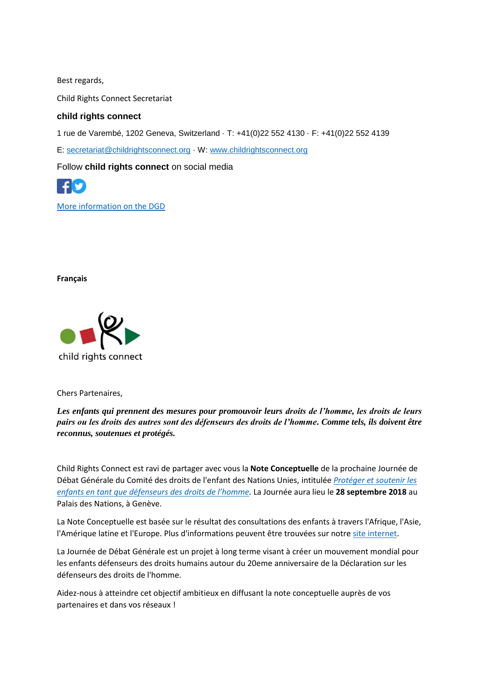Best regards,

Child Rights Connect Secretariat

### **child rights connect**

1 rue de Varembé, 1202 Geneva, Switzerland · T: +41(0)22 552 4130 · F: +41(0)22 552 4139

E: [secretariat@childrightsconnect.org](mailto:secretariat@childrightsconnect.org) · W: [www.childrightsconnect.org](http://www.childrightsconnect.org/)

Follow **child rights connect** on social media



[More information on the DGD](http://www.childrightsconnect.org/connect-with-the-un-2/committee-on-the-rights-of-the-child/days-of-general-discussion/)

<span id="page-1-0"></span>**Français**



Chers Partenaires,

*Les enfants qui prennent des mesures pour promouvoir leurs droits de l'homme, les droits de leurs pairs ou les droits des autres sont des défenseurs des droits de l'homme. Comme tels, ils doivent être reconnus, soutenues et protégés.* 

Child Rights Connect est ravi de partager avec vous la **Note Conceptuelle** de la prochaine Journée de Débat Générale du Comité des droits de l'enfant des Nations Unies, intitulée *[Protéger et soutenir les](http://www.ohchr.org/Documents/HRBodies/CRC/Discussions/2018/ConceptNote_FR.docx)  [enfants en tant que défenseur](http://www.ohchr.org/Documents/HRBodies/CRC/Discussions/2018/ConceptNote_FR.docx)s des droits de l'homme.* La Journée aura lieu le **28 septembre 2018** au Palais des Nations, à Genève.

La Note Conceptuelle est basée sur le résultat des consultations des enfants à travers l'Afrique, l'Asie, l'Amérique latine et l'Europe. Plus d'informations peuvent être trouvées sur notr[e site internet.](http://www.childrightsconnect.org/connect-with-the-un-2/committee-on-the-rights-of-the-child/days-of-general-discussion/fr/)

La Journée de Débat Générale est un projet à long terme visant à créer un mouvement mondial pour les enfants défenseurs des droits humains autour du 20eme anniversaire de la Déclaration sur les défenseurs des droits de l'homme.

Aidez-nous à atteindre cet objectif ambitieux en diffusant la note conceptuelle auprès de vos partenaires et dans vos réseaux !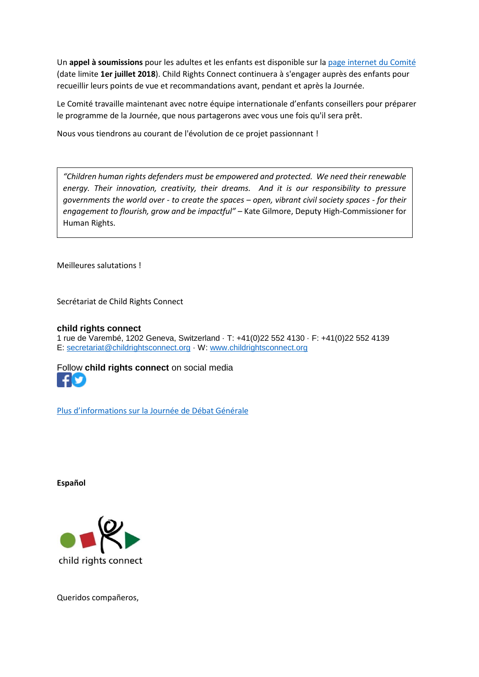Un **appel à soumissions** pour les adultes et les enfants est disponible sur la [page internet](http://www.ohchr.org/EN/HRBodies/CRC/Pages/Discussion2018.aspx) du Comité (date limite **1er juillet 2018**). Child Rights Connect continuera à s'engager auprès des enfants pour recueillir leurs points de vue et recommandations avant, pendant et après la Journée.

Le Comité travaille maintenant avec notre équipe internationale d'enfants conseillers pour préparer le programme de la Journée, que nous partagerons avec vous une fois qu'il sera prêt.

Nous vous tiendrons au courant de l'évolution de ce projet passionnant !

*"Children human rights defenders must be empowered and protected. We need their renewable energy. Their innovation, creativity, their dreams. And it is our responsibility to pressure governments the world over - to create the spaces – open, vibrant civil society spaces - for their engagement to flourish, grow and be impactful" –* Kate Gilmore, Deputy High-Commissioner for Human Rights.

Meilleures salutations !

Secrétariat de Child Rights Connect

#### **child rights connect**

1 rue de Varembé, 1202 Geneva, Switzerland · T: +41(0)22 552 4130 · F: +41(0)22 552 4139 E: [secretariat@childrightsconnect.org](mailto:secretariat@childrightsconnect.org) · W: [www.childrightsconnect.org](http://www.childrightsconnect.org/)

[Foll](https://www.facebook.com/childrightsconnect/)[ow](https://twitter.com/ChildRightsCnct) **child rights connect** on social media M

[Plus d'informations sur la Journée de](http://www.childrightsconnect.org/connect-with-the-un-2/committee-on-the-rights-of-the-child/days-of-general-discussion/fr/) Débat Générale

<span id="page-2-0"></span>**Español**



Queridos compañeros,